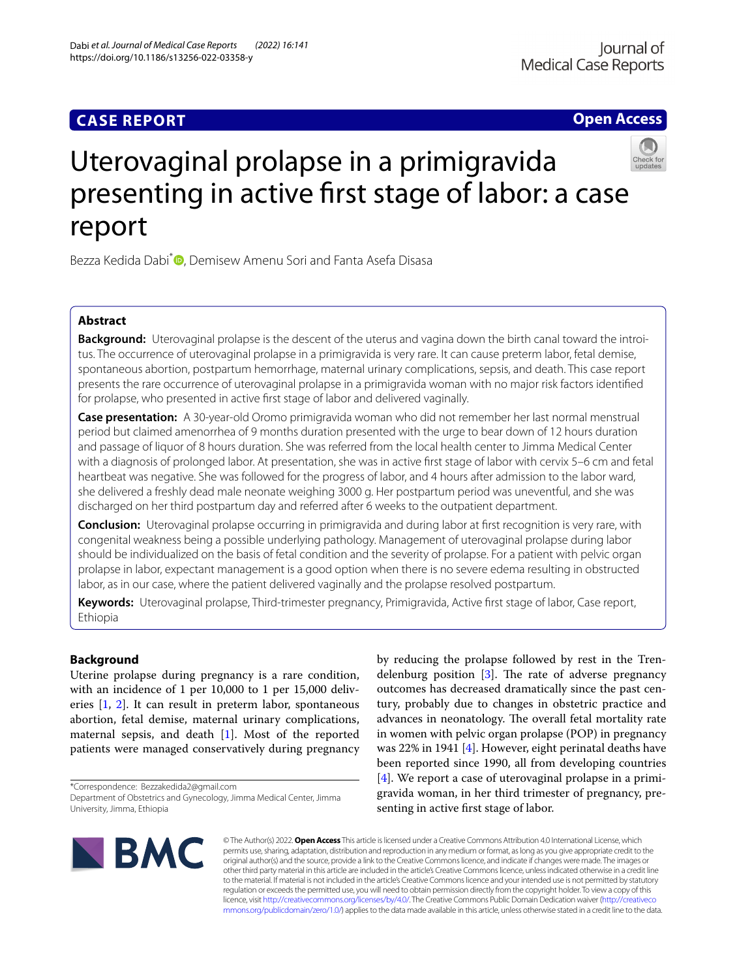## **CASE REPORT**

**Open Access**



# Uterovaginal prolapse in a primigravida presenting in active frst stage of labor: a case report

Bezza Kedida Dabi<sup>\*</sup> D[,](http://orcid.org/0000-0002-1507-4681) Demisew Amenu Sori and Fanta Asefa Disasa

## **Abstract**

**Background:** Uterovaginal prolapse is the descent of the uterus and vagina down the birth canal toward the introitus. The occurrence of uterovaginal prolapse in a primigravida is very rare. It can cause preterm labor, fetal demise, spontaneous abortion, postpartum hemorrhage, maternal urinary complications, sepsis, and death. This case report presents the rare occurrence of uterovaginal prolapse in a primigravida woman with no major risk factors identifed for prolapse, who presented in active frst stage of labor and delivered vaginally.

**Case presentation:** A 30-year-old Oromo primigravida woman who did not remember her last normal menstrual period but claimed amenorrhea of 9 months duration presented with the urge to bear down of 12 hours duration and passage of liquor of 8 hours duration. She was referred from the local health center to Jimma Medical Center with a diagnosis of prolonged labor. At presentation, she was in active frst stage of labor with cervix 5–6 cm and fetal heartbeat was negative. She was followed for the progress of labor, and 4 hours after admission to the labor ward, she delivered a freshly dead male neonate weighing 3000 g. Her postpartum period was uneventful, and she was discharged on her third postpartum day and referred after 6 weeks to the outpatient department.

**Conclusion:** Uterovaginal prolapse occurring in primigravida and during labor at frst recognition is very rare, with congenital weakness being a possible underlying pathology. Management of uterovaginal prolapse during labor should be individualized on the basis of fetal condition and the severity of prolapse. For a patient with pelvic organ prolapse in labor, expectant management is a good option when there is no severe edema resulting in obstructed labor, as in our case, where the patient delivered vaginally and the prolapse resolved postpartum.

**Keywords:** Uterovaginal prolapse, Third-trimester pregnancy, Primigravida, Active frst stage of labor, Case report, Ethiopia

## **Background**

Uterine prolapse during pregnancy is a rare condition, with an incidence of 1 per 10,000 to 1 per 15,000 deliveries [[1,](#page-3-0) [2\]](#page-3-1). It can result in preterm labor, spontaneous abortion, fetal demise, maternal urinary complications, maternal sepsis, and death [\[1](#page-3-0)]. Most of the reported patients were managed conservatively during pregnancy

\*Correspondence: Bezzakedida2@gmail.com

by reducing the prolapse followed by rest in the Trendelenburg position  $[3]$  $[3]$ . The rate of adverse pregnancy outcomes has decreased dramatically since the past century, probably due to changes in obstetric practice and advances in neonatology. The overall fetal mortality rate in women with pelvic organ prolapse (POP) in pregnancy was 22% in 1941 [[4](#page-3-3)]. However, eight perinatal deaths have been reported since 1990, all from developing countries [[4\]](#page-3-3). We report a case of uterovaginal prolapse in a primigravida woman, in her third trimester of pregnancy, presenting in active frst stage of labor.



© The Author(s) 2022. **Open Access** This article is licensed under a Creative Commons Attribution 4.0 International License, which permits use, sharing, adaptation, distribution and reproduction in any medium or format, as long as you give appropriate credit to the original author(s) and the source, provide a link to the Creative Commons licence, and indicate if changes were made. The images or other third party material in this article are included in the article's Creative Commons licence, unless indicated otherwise in a credit line to the material. If material is not included in the article's Creative Commons licence and your intended use is not permitted by statutory regulation or exceeds the permitted use, you will need to obtain permission directly from the copyright holder. To view a copy of this licence, visit [http://creativecommons.org/licenses/by/4.0/.](http://creativecommons.org/licenses/by/4.0/) The Creative Commons Public Domain Dedication waiver ([http://creativeco](http://creativecommons.org/publicdomain/zero/1.0/) [mmons.org/publicdomain/zero/1.0/](http://creativecommons.org/publicdomain/zero/1.0/)) applies to the data made available in this article, unless otherwise stated in a credit line to the data.

Department of Obstetrics and Gynecology, Jimma Medical Center, Jimma University, Jimma, Ethiopia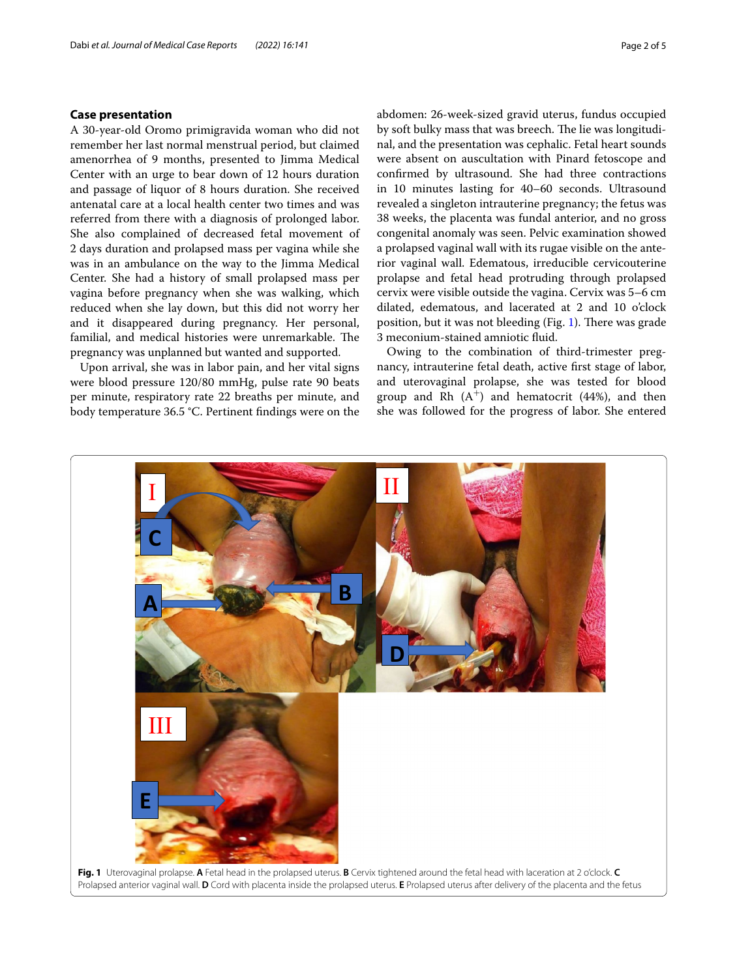## **Case presentation**

A 30-year-old Oromo primigravida woman who did not remember her last normal menstrual period, but claimed amenorrhea of 9 months, presented to Jimma Medical Center with an urge to bear down of 12 hours duration and passage of liquor of 8 hours duration. She received antenatal care at a local health center two times and was referred from there with a diagnosis of prolonged labor. She also complained of decreased fetal movement of 2 days duration and prolapsed mass per vagina while she was in an ambulance on the way to the Jimma Medical Center. She had a history of small prolapsed mass per vagina before pregnancy when she was walking, which reduced when she lay down, but this did not worry her and it disappeared during pregnancy. Her personal, familial, and medical histories were unremarkable. The pregnancy was unplanned but wanted and supported.

Upon arrival, she was in labor pain, and her vital signs were blood pressure 120/80 mmHg, pulse rate 90 beats per minute, respiratory rate 22 breaths per minute, and body temperature 36.5 °C. Pertinent fndings were on the abdomen: 26-week-sized gravid uterus, fundus occupied by soft bulky mass that was breech. The lie was longitudinal, and the presentation was cephalic. Fetal heart sounds were absent on auscultation with Pinard fetoscope and confrmed by ultrasound. She had three contractions in 10 minutes lasting for 40–60 seconds. Ultrasound revealed a singleton intrauterine pregnancy; the fetus was 38 weeks, the placenta was fundal anterior, and no gross congenital anomaly was seen. Pelvic examination showed a prolapsed vaginal wall with its rugae visible on the anterior vaginal wall. Edematous, irreducible cervicouterine prolapse and fetal head protruding through prolapsed cervix were visible outside the vagina. Cervix was 5–6 cm dilated, edematous, and lacerated at 2 and 10 o'clock position, but it was not bleeding (Fig. [1](#page-1-0)). There was grade 3 meconium-stained amniotic fuid.

Owing to the combination of third-trimester pregnancy, intrauterine fetal death, active frst stage of labor, and uterovaginal prolapse, she was tested for blood group and Rh  $(A^+)$  and hematocrit (44%), and then she was followed for the progress of labor. She entered

<span id="page-1-0"></span>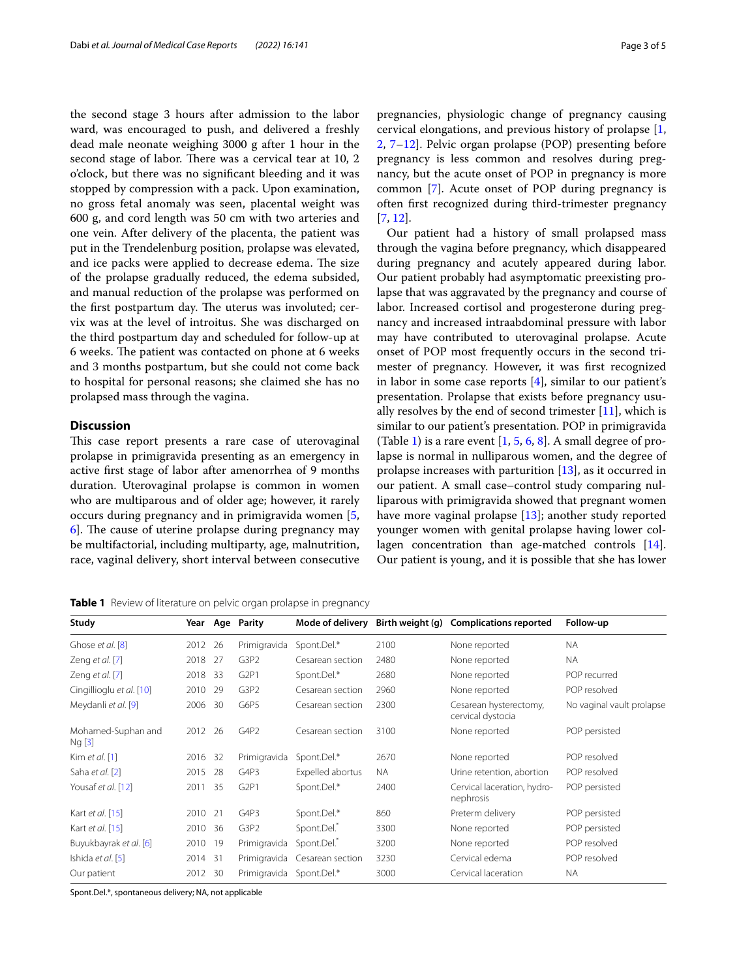the second stage 3 hours after admission to the labor ward, was encouraged to push, and delivered a freshly dead male neonate weighing 3000 g after 1 hour in the second stage of labor. There was a cervical tear at 10, 2 o'clock, but there was no signifcant bleeding and it was stopped by compression with a pack. Upon examination, no gross fetal anomaly was seen, placental weight was 600 g, and cord length was 50 cm with two arteries and one vein. After delivery of the placenta, the patient was put in the Trendelenburg position, prolapse was elevated, and ice packs were applied to decrease edema. The size of the prolapse gradually reduced, the edema subsided, and manual reduction of the prolapse was performed on the first postpartum day. The uterus was involuted; cervix was at the level of introitus. She was discharged on the third postpartum day and scheduled for follow-up at 6 weeks. The patient was contacted on phone at 6 weeks and 3 months postpartum, but she could not come back to hospital for personal reasons; she claimed she has no prolapsed mass through the vagina.

## **Discussion**

This case report presents a rare case of uterovaginal prolapse in primigravida presenting as an emergency in active frst stage of labor after amenorrhea of 9 months duration. Uterovaginal prolapse is common in women who are multiparous and of older age; however, it rarely occurs during pregnancy and in primigravida women [\[5](#page-3-4),  $\overline{6}$ . The cause of uterine prolapse during pregnancy may be multifactorial, including multiparty, age, malnutrition, race, vaginal delivery, short interval between consecutive

<span id="page-2-0"></span>**Table 1** Review of literature on pelvic organ prolapse in pregnancy

pregnancies, physiologic change of pregnancy causing cervical elongations, and previous history of prolapse [\[1](#page-3-0), [2,](#page-3-1) [7](#page-3-6)[–12\]](#page-4-0). Pelvic organ prolapse (POP) presenting before pregnancy is less common and resolves during pregnancy, but the acute onset of POP in pregnancy is more common [[7\]](#page-3-6). Acute onset of POP during pregnancy is often frst recognized during third-trimester pregnancy [[7,](#page-3-6) [12](#page-4-0)].

Our patient had a history of small prolapsed mass through the vagina before pregnancy, which disappeared during pregnancy and acutely appeared during labor. Our patient probably had asymptomatic preexisting prolapse that was aggravated by the pregnancy and course of labor. Increased cortisol and progesterone during pregnancy and increased intraabdominal pressure with labor may have contributed to uterovaginal prolapse. Acute onset of POP most frequently occurs in the second trimester of pregnancy. However, it was frst recognized in labor in some case reports [[4\]](#page-3-3), similar to our patient's presentation. Prolapse that exists before pregnancy usually resolves by the end of second trimester  $[11]$ , which is similar to our patient's presentation. POP in primigravida (Table [1\)](#page-2-0) is a rare event  $[1, 5, 6, 8]$  $[1, 5, 6, 8]$  $[1, 5, 6, 8]$  $[1, 5, 6, 8]$  $[1, 5, 6, 8]$  $[1, 5, 6, 8]$  $[1, 5, 6, 8]$ . A small degree of prolapse is normal in nulliparous women, and the degree of prolapse increases with parturition [[13\]](#page-4-2), as it occurred in our patient. A small case–control study comparing nulliparous with primigravida showed that pregnant women have more vaginal prolapse [\[13](#page-4-2)]; another study reported younger women with genital prolapse having lower collagen concentration than age-matched controls [\[14](#page-4-3)]. Our patient is young, and it is possible that she has lower

| Study                        |         |     | Year Age Parity  |                  |      | Mode of delivery Birth weight (g) Complications reported | Follow-up                 |
|------------------------------|---------|-----|------------------|------------------|------|----------------------------------------------------------|---------------------------|
| Ghose et al. [8]             | 2012 26 |     | Primigravida     | Spont.Del.*      | 2100 | None reported                                            | <b>NA</b>                 |
| Zeng et al. [7]              | 2018 27 |     | G3P2             | Cesarean section | 2480 | None reported                                            | NA.                       |
| Zeng et al. [7]              | 2018 33 |     | G <sub>2P1</sub> | Spont.Del.*      | 2680 | None reported                                            | POP recurred              |
| Cingillioglu et al. [10]     | 2010 29 |     | G3P2             | Cesarean section | 2960 | None reported                                            | POP resolved              |
| Meydanli et al. [9]          | 2006    | 30  | G6P5             | Cesarean section | 2300 | Cesarean hysterectomy,<br>cervical dystocia              | No vaginal vault prolapse |
| Mohamed-Suphan and<br>Ng [3] | 2012 26 |     | G4P2             | Cesarean section | 3100 | None reported                                            | POP persisted             |
| Kim et al. $[1]$             | 2016 32 |     | Primigravida     | Spont.Del.*      | 2670 | None reported                                            | POP resolved              |
| Saha et al. [2]              | 2015    | -28 | G4P3             | Expelled abortus | NA.  | Urine retention, abortion                                | POP resolved              |
| Yousaf et al. [12]           | 2011    | 35  | G <sub>2P1</sub> | Spont.Del.*      | 2400 | Cervical laceration, hydro-<br>nephrosis                 | POP persisted             |
| Kart et al. [15]             | 2010 21 |     | G4P3             | Spont.Del.*      | 860  | Preterm delivery                                         | POP persisted             |
| Kart et al. [15]             | 2010 36 |     | G3P2             | Spont.Del.*      | 3300 | None reported                                            | POP persisted             |
| Buyukbayrak et al. [6]       | 2010 19 |     | Primigravida     | Spont.Del.       | 3200 | None reported                                            | POP resolved              |
| Ishida et al. [5]            | 2014 31 |     | Primigravida     | Cesarean section | 3230 | Cervical edema                                           | POP resolved              |
| Our patient                  | 2012 30 |     | Primigravida     | Spont.Del.*      | 3000 | Cervical laceration                                      | <b>NA</b>                 |
|                              |         |     |                  |                  |      |                                                          |                           |

Spont.Del.\*, spontaneous delivery; NA, not applicable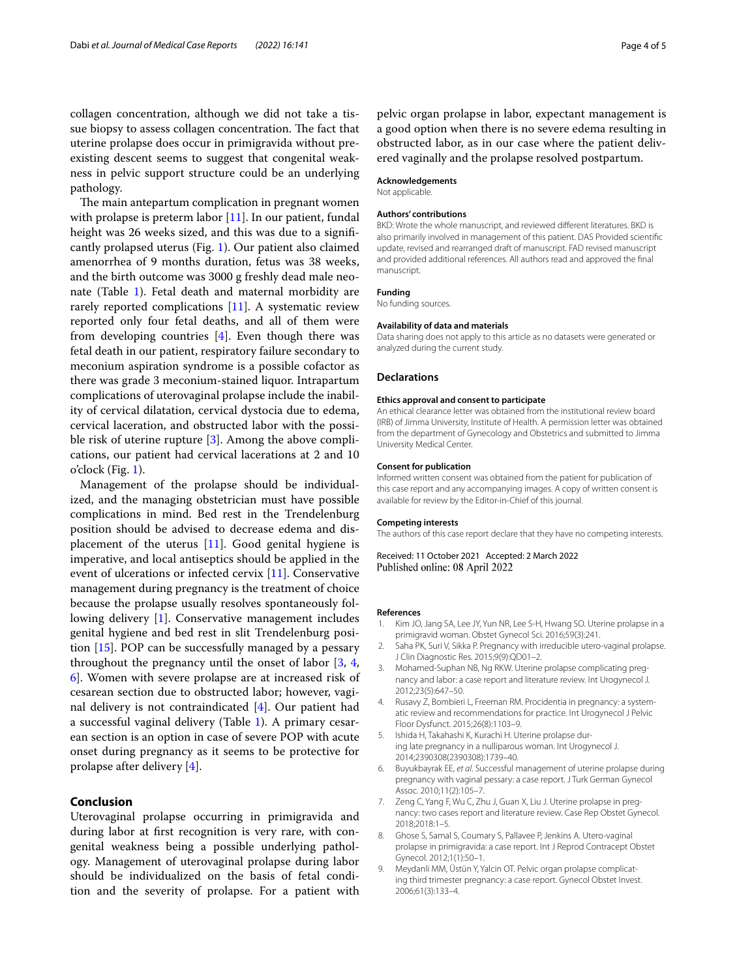collagen concentration, although we did not take a tissue biopsy to assess collagen concentration. The fact that uterine prolapse does occur in primigravida without preexisting descent seems to suggest that congenital weakness in pelvic support structure could be an underlying pathology.

The main antepartum complication in pregnant women with prolapse is preterm labor [[11](#page-4-1)]. In our patient, fundal height was 26 weeks sized, and this was due to a significantly prolapsed uterus (Fig. [1\)](#page-1-0). Our patient also claimed amenorrhea of 9 months duration, fetus was 38 weeks, and the birth outcome was 3000 g freshly dead male neonate (Table [1\)](#page-2-0). Fetal death and maternal morbidity are rarely reported complications [\[11](#page-4-1)]. A systematic review reported only four fetal deaths, and all of them were from developing countries [\[4](#page-3-3)]. Even though there was fetal death in our patient, respiratory failure secondary to meconium aspiration syndrome is a possible cofactor as there was grade 3 meconium-stained liquor. Intrapartum complications of uterovaginal prolapse include the inability of cervical dilatation, cervical dystocia due to edema, cervical laceration, and obstructed labor with the possi-ble risk of uterine rupture [[3\]](#page-3-2). Among the above complications, our patient had cervical lacerations at 2 and 10 o'clock (Fig. [1\)](#page-1-0).

Management of the prolapse should be individualized, and the managing obstetrician must have possible complications in mind. Bed rest in the Trendelenburg position should be advised to decrease edema and displacement of the uterus  $[11]$  $[11]$ . Good genital hygiene is imperative, and local antiseptics should be applied in the event of ulcerations or infected cervix [[11\]](#page-4-1). Conservative management during pregnancy is the treatment of choice because the prolapse usually resolves spontaneously following delivery [[1\]](#page-3-0). Conservative management includes genital hygiene and bed rest in slit Trendelenburg position [\[15](#page-4-5)]. POP can be successfully managed by a pessary throughout the pregnancy until the onset of labor [[3,](#page-3-2) [4](#page-3-3), [6\]](#page-3-5). Women with severe prolapse are at increased risk of cesarean section due to obstructed labor; however, vaginal delivery is not contraindicated [\[4](#page-3-3)]. Our patient had a successful vaginal delivery (Table [1\)](#page-2-0). A primary cesarean section is an option in case of severe POP with acute onset during pregnancy as it seems to be protective for prolapse after delivery [[4\]](#page-3-3).

## **Conclusion**

Uterovaginal prolapse occurring in primigravida and during labor at frst recognition is very rare, with congenital weakness being a possible underlying pathology. Management of uterovaginal prolapse during labor should be individualized on the basis of fetal condition and the severity of prolapse. For a patient with

pelvic organ prolapse in labor, expectant management is a good option when there is no severe edema resulting in obstructed labor, as in our case where the patient delivered vaginally and the prolapse resolved postpartum.

#### **Acknowledgements**

Not applicable.

#### **Authors' contributions**

BKD: Wrote the whole manuscript, and reviewed diferent literatures. BKD is also primarily involved in management of this patient. DAS Provided scientifc update, revised and rearranged draft of manuscript. FAD revised manuscript and provided additional references. All authors read and approved the fnal manuscript.

#### **Funding**

No funding sources.

#### **Availability of data and materials**

Data sharing does not apply to this article as no datasets were generated or analyzed during the current study.

#### **Declarations**

### **Ethics approval and consent to participate**

An ethical clearance letter was obtained from the institutional review board (IRB) of Jimma University, Institute of Health. A permission letter was obtained from the department of Gynecology and Obstetrics and submitted to Jimma University Medical Center.

#### **Consent for publication**

Informed written consent was obtained from the patient for publication of this case report and any accompanying images. A copy of written consent is available for review by the Editor-in-Chief of this journal.

#### **Competing interests**

The authors of this case report declare that they have no competing interests.

Received: 11 October 2021 Accepted: 2 March 2022 Published online: 08 April 2022

#### **References**

- <span id="page-3-0"></span>1. Kim JO, Jang SA, Lee JY, Yun NR, Lee S-H, Hwang SO. Uterine prolapse in a primigravid woman. Obstet Gynecol Sci. 2016;59(3):241.
- <span id="page-3-1"></span>2. Saha PK, Suri V, Sikka P. Pregnancy with irreducible utero-vaginal prolapse. J Clin Diagnostic Res. 2015;9(9):QD01–2.
- <span id="page-3-2"></span>3. Mohamed-Suphan NB, Ng RKW. Uterine prolapse complicating pregnancy and labor: a case report and literature review. Int Urogynecol J. 2012;23(5):647–50.
- <span id="page-3-3"></span>4. Rusavy Z, Bombieri L, Freeman RM. Procidentia in pregnancy: a systematic review and recommendations for practice. Int Urogynecol J Pelvic Floor Dysfunct. 2015;26(8):1103–9.
- <span id="page-3-4"></span>5. Ishida H, Takahashi K, Kurachi H. Uterine prolapse during late pregnancy in a nulliparous woman. Int Urogynecol J. 2014;2390308(2390308):1739–40.
- <span id="page-3-5"></span>6. Buyukbayrak EE, *et al*. Successful management of uterine prolapse during pregnancy with vaginal pessary: a case report. J Turk German Gynecol Assoc. 2010;11(2):105–7.
- <span id="page-3-6"></span>7. Zeng C, Yang F, Wu C, Zhu J, Guan X, Liu J. Uterine prolapse in pregnancy: two cases report and literature review. Case Rep Obstet Gynecol. 2018;2018:1–5.
- <span id="page-3-7"></span>8. Ghose S, Samal S, Coumary S, Pallavee P, Jenkins A. Utero-vaginal prolapse in primigravida: a case report. Int J Reprod Contracept Obstet Gynecol. 2012;1(1):50–1.
- <span id="page-3-8"></span>9. Meydanli MM, Üstün Y, Yalcin OT. Pelvic organ prolapse complicating third trimester pregnancy: a case report. Gynecol Obstet Invest. 2006;61(3):133–4.